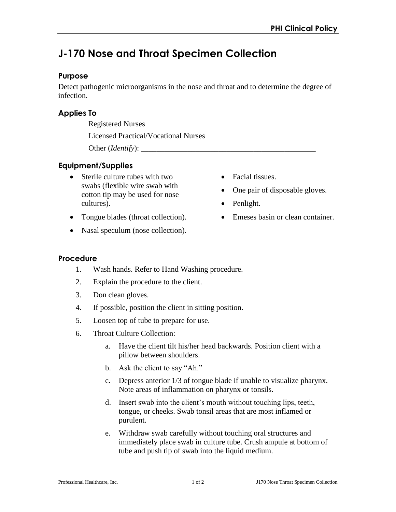# **J-170 Nose and Throat Specimen Collection**

#### **Purpose**

Detect pathogenic microorganisms in the nose and throat and to determine the degree of infection.

# **Applies To**

Registered Nurses

Licensed Practical/Vocational Nurses

Other (*Identify*): \_\_\_\_\_\_\_\_\_\_\_\_\_\_\_\_\_\_\_\_\_\_\_\_\_\_\_\_\_\_\_\_\_\_\_\_\_\_\_\_\_\_\_\_\_

# **Equipment/Supplies**

- Sterile culture tubes with two swabs (flexible wire swab with cotton tip may be used for nose cultures).
- Tongue blades (throat collection).
- Nasal speculum (nose collection).
- Facial tissues.
- One pair of disposable gloves.
- Penlight.
- Emeses basin or clean container.

## **Procedure**

- 1. Wash hands. Refer to Hand Washing procedure.
- 2. Explain the procedure to the client.
- 3. Don clean gloves.
- 4. If possible, position the client in sitting position.
- 5. Loosen top of tube to prepare for use.
- 6. Throat Culture Collection:
	- a. Have the client tilt his/her head backwards. Position client with a pillow between shoulders.
	- b. Ask the client to say "Ah."
	- c. Depress anterior 1/3 of tongue blade if unable to visualize pharynx. Note areas of inflammation on pharynx or tonsils.
	- d. Insert swab into the client's mouth without touching lips, teeth, tongue, or cheeks. Swab tonsil areas that are most inflamed or purulent.
	- e. Withdraw swab carefully without touching oral structures and immediately place swab in culture tube. Crush ampule at bottom of tube and push tip of swab into the liquid medium.